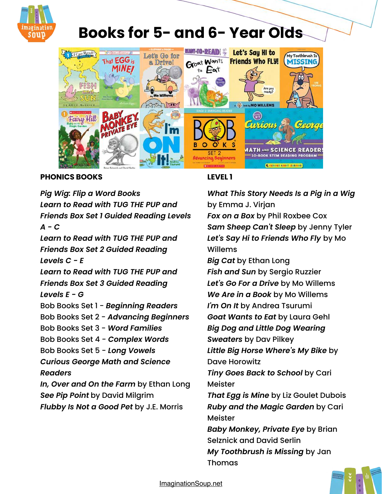

# **Books for 5- and 6- Year Olds**



### **PHONICS BOOKS**

*[Pig Wig: Flip a Word Books](https://amzn.to/2CgOzhz)* 

*[Learn to Read with TUG THE PUP and](http://www.amazon.com/gp/product/0062266896/ref=as_li_tl?ie=UTF8&camp=1789&creative=390957&creativeASIN=0062266896&linkCode=as2&tag=melitaylonli-20&linkId=CWLK4GECKEE4LMF5)  [Friends Box Set 1 Guided Reading Levels](http://www.amazon.com/gp/product/0062266896/ref=as_li_tl?ie=UTF8&camp=1789&creative=390957&creativeASIN=0062266896&linkCode=as2&tag=melitaylonli-20&linkId=CWLK4GECKEE4LMF5)  [A - C](http://www.amazon.com/gp/product/0062266896/ref=as_li_tl?ie=UTF8&camp=1789&creative=390957&creativeASIN=0062266896&linkCode=as2&tag=melitaylonli-20&linkId=CWLK4GECKEE4LMF5)  [Learn to Read with TUG THE PUP and](http://www.amazon.com/gp/product/0062266918/ref=as_li_tl?ie=UTF8&camp=1789&creative=390957&creativeASIN=0062266918&linkCode=as2&tag=melitaylonli-20&linkId=FGZFLE3YWTB2AYJ7)  [Friends Box Set 2 Guided Reading](http://www.amazon.com/gp/product/0062266918/ref=as_li_tl?ie=UTF8&camp=1789&creative=390957&creativeASIN=0062266918&linkCode=as2&tag=melitaylonli-20&linkId=FGZFLE3YWTB2AYJ7)  [Levels C - E](http://www.amazon.com/gp/product/0062266918/ref=as_li_tl?ie=UTF8&camp=1789&creative=390957&creativeASIN=0062266918&linkCode=as2&tag=melitaylonli-20&linkId=FGZFLE3YWTB2AYJ7) [Learn to Read with TUG THE PUP and](http://www.amazon.com/gp/product/0062266934/ref=as_li_tl?ie=UTF8&camp=1789&creative=390957&creativeASIN=0062266934&linkCode=as2&tag=melitaylonli-20&linkId=UGHQ2Q4SUK4RHCZX)* 

*[Friends Box Set 3 Guided Reading](http://www.amazon.com/gp/product/0062266934/ref=as_li_tl?ie=UTF8&camp=1789&creative=390957&creativeASIN=0062266934&linkCode=as2&tag=melitaylonli-20&linkId=UGHQ2Q4SUK4RHCZX)  [Levels E - G](http://www.amazon.com/gp/product/0062266934/ref=as_li_tl?ie=UTF8&camp=1789&creative=390957&creativeASIN=0062266934&linkCode=as2&tag=melitaylonli-20&linkId=UGHQ2Q4SUK4RHCZX)* 

Bob Books Set 1 - *[Beginning Readers](http://www.amazon.com/gp/product/0439845009/ref=as_li_tl?ie=UTF8&camp=1789&creative=390957&creativeASIN=0439845009&linkCode=as2&tag=melitaylonli-20&linkId=2I2R6MVKWSELGDH3)*

Bob Books Set 2 - *[Advancing Beginners](http://www.amazon.com/gp/product/0439845025/ref=as_li_tl?ie=UTF8&camp=1789&creative=390957&creativeASIN=0439845025&linkCode=as2&tag=melitaylonli-20&linkId=YJLMQO6Y6MZS463E)*

Bob Books Set 3 - *[Word Families](http://www.amazon.com/gp/product/0439845092/ref=as_li_tl?ie=UTF8&camp=1789&creative=390957&creativeASIN=0439845092&linkCode=as2&tag=melitaylonli-20&linkId=5JMRBNNYYY5A34FB)*

Bob Books Set 4 - *[Complex Words](http://www.amazon.com/gp/product/0439845068/ref=as_li_tl?ie=UTF8&camp=1789&creative=390957&creativeASIN=0439845068&linkCode=as2&tag=melitaylonli-20&linkId=7MED45VE6KOZEK6U)*

Bob Books Set 5 - *[Long Vowels](http://www.amazon.com/gp/product/0439865417/ref=as_li_tl?ie=UTF8&camp=1789&creative=390957&creativeASIN=0439865417&linkCode=as2&tag=melitaylonli-20&linkId=BSJE4GZXFE56OM5T)*

*[Curious George Math and Science](https://amzn.to/2uZuMC2)  [Readers](https://amzn.to/2uZuMC2)*

*[In, Over and On the Farm](http://amzn.to/1Ko0d8a)* by Ethan Long *[See Pip Point](http://amzn.to/2pkpex4)* by David Milgrim *[Flubby Is Not a Good Pet](https://amzn.to/2xpGofM)* by J.E. Morris

# **LEVEL 1**

*[What This Story Needs Is a Pig in a Wig](http://amzn.to/1Jaf2Gd)* by Emma J. Virjan

*[Fox on a Box](http://www.amazon.com/gp/product/0794515037/ref=as_li_tl?ie=UTF8&camp=1789&creative=390957&creativeASIN=0794515037&linkCode=as2&tag=melitaylonli-20&linkId=RUJRYQQ77DU4IEQA)* by Phil Roxbee Cox *[Sam Sheep Can't Sleep](http://www.amazon.com/gp/product/0794515088/ref=as_li_tl?ie=UTF8&camp=1789&creative=390957&creativeASIN=0794515088&linkCode=as2&tag=melitaylonli-20&linkId=SV754GV2UMHNHLSI)* by Jenny Tyler *[Let's Say Hi to Friends Who Fly](http://www.amazon.com/gp/product/006172842X/ref=as_li_tl?ie=UTF8&camp=1789&creative=390957&creativeASIN=006172842X&linkCode=as2&tag=melitaylonli-20&linkId=N2GV2GFFQCRIXY5F)* by Mo Willems

*[Big Cat](http://amzn.to/1rdhxGl)* by Ethan Long

*[Fish and Sun](https://amzn.to/2WxziWJ)* by Sergio Ruzzier

*[Let's Go For a Drive](https://amzn.to/2NYJO0r)* by Mo Willems

*[We Are in a Book](http://www.amazon.com/gp/product/1423133080/ref=as_li_tl?ie=UTF8&camp=1789&creative=390957&creativeASIN=1423133080&linkCode=as2&tag=melitaylonli-20&linkId=JRGTTGCWX3EURDJI)* by Mo Willems

*[I'm On It](https://amzn.to/3DkcLxb)* by Andrea Tsurumi

*[Goat Wants to Eat](https://amzn.to/3skJLjT)* by Laura Gehl

*[Big Dog and Little Dog Wearing](http://amzn.to/1Y8Fdbt)* 

*[Sweaters](http://amzn.to/1Y8Fdbt)* by Dav Pilkey

*[Little Big Horse Where's My Bike](http://www.amazon.com/gp/product/0545492149/ref=as_li_tl?ie=UTF8&camp=1789&creative=390957&creativeASIN=0545492149&linkCode=as2&tag=melitaylonli-20&linkId=S33DCPBP47IHSSPL)* by Dave Horowitz

*[Tiny Goes Back to School](http://www.amazon.com/gp/product/0448481340/ref=as_li_tl?ie=UTF8&camp=1789&creative=390957&creativeASIN=0448481340&linkCode=as2&tag=melitaylonli-20&linkId=ISUNHTD3JQ7BS3VU)* by Cari Meister

*[That Egg is Mine](https://amzn.to/3uuvdAO)* by Liz Goulet Dubois *[Ruby and the Magic Garden](https://amzn.to/2ASRbUF)* by Cari Meister

*[Baby Monkey, Private Eye](http://amzn.to/2DEHWU1)* by Brian Selznick and David Serlin

*[My Toothbrush is Missing](https://amzn.to/2GKwUD1)* by Jan Thomas



[ImaginationSoup.net](http://imaginationsoup.net)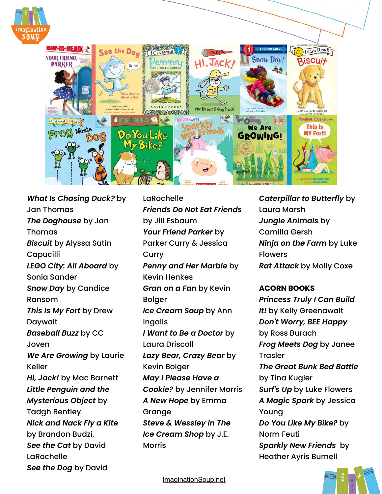

*[What Is Chasing Duck?](http://amzn.to/2q35Aap)* by Jan Thomas *[The Doghouse](https://amzn.to/2pp0qDl)* by Jan Thomas *[Biscuit](https://amzn.to/2Tw71NE)* by Alyssa Satin **Capucilli** *[LEGO City: All Aboard](http://amzn.to/2rGLL5T)* by Sonia Sander *[Snow Day](https://amzn.to/2AUFxsr)* by Candice Ransom *[This Is My Fort](https://amzn.to/2RKXdLK)* by Drew Daywalt *[Baseball Buzz](http://amzn.to/2q39qjO)* by CC Joven *[We Are Growing](http://amzn.to/2h2vL9X)* by Laurie Keller *[Hi, Jack!](https://amzn.to/2X7QyRB)* by Mac Barnett *[Little Penguin and the](https://amzn.to/3q2JwqN)  [Mysterious Object](https://amzn.to/3q2JwqN)* by Tadgh Bentley *[Nick and Nack Fly a Kite](https://amzn.to/3bpWEzW)* by Brandon Budzi, *[See the Cat](https://amzn.to/2ZZKnP7)* by David LaRochelle *[See the Dog](https://amzn.to/3g0A2dD)* by David

LaRochelle *[Friends Do Not Eat Friends](https://amzn.to/3sOaLIK)* by Jill Esbaum *[Your Friend Parker](https://amzn.to/3Jqa4fu)* by Parker Curry & Jessica **Curry** *[Penny and Her Marble](https://amzn.to/2vXrDnr)* by Kevin Henkes *[Gran on a Fan](http://amzn.to/1JaenES)* by Kevin Bolger *[Ice Cream Soup](https://amzn.to/2TA4gLo)* by Ann Ingalls *[I Want to Be a Doctor](https://amzn.to/2MHOmsh)* by Laura Driscoll *[Lazy Bear, Crazy Bear](http://amzn.to/1USkCJo)* by Kevin Bolger *[May I Please Have a](https://amzn.to/2u5uUMO)  [Cookie?](https://amzn.to/2u5uUMO)* by Jennifer Morris *[A New Hope](http://amzn.to/20lXtiK)* by Emma Grange *[Steve & Wessley in The](http://www.amazon.com/gp/product/0545614813/ref=as_li_tl?ie=UTF8&camp=1789&creative=390957&creativeASIN=0545614813&linkCode=as2&tag=melitaylonli-20&linkId=65PNT37K6GXVUELQ)  [Ice Cream Shop](http://www.amazon.com/gp/product/0545614813/ref=as_li_tl?ie=UTF8&camp=1789&creative=390957&creativeASIN=0545614813&linkCode=as2&tag=melitaylonli-20&linkId=65PNT37K6GXVUELQ)* by J.E. Morris

*[Caterpillar to Butterfly](http://www.amazon.com/gp/product/1426309201/ref=as_li_tl?ie=UTF8&camp=1789&creative=390957&creativeASIN=1426309201&linkCode=as2&tag=melitaylonli-20&linkId=B3LPELUPMRTAT7V4)* by Laura Marsh *[Jungle Animals](http://amzn.to/29Fy9kK)* by Camilla Gersh *[Ninja on the Farm](http://amzn.to/2q39Oi2)* by Luke Flowers *[Rat Attack](http://amzn.to/1ietrLT)* by Molly Coxe

#### **ACORN BOOKS**

*[Princess Truly I Can Build](https://amzn.to/2YeZWR5)  [It!](https://amzn.to/2YeZWR5)* by Kelly Greenawalt *[Don't Worry, BEE Happy](https://amzn.to/2sTPy5c)* by Ross Burach *[Frog Meets Dog](https://amzn.to/3snwRBi)* by Janee Trasler *[The Great Bunk Bed Battle](https://amzn.to/3ctgHib)* by Tina Kugler *[Surf's Up](https://amzn.to/35hNH8w)* by Luke Flowers *[A Magic Spark](https://amzn.to/2FVs5aq)* by Jessica Young *[Do You Like My Bike?](https://amzn.to/2RzJ6sw)* by Norm Feuti *[Sparkly New Friends](https://amzn.to/2FBblCq)* by Heather Ayris Burnell